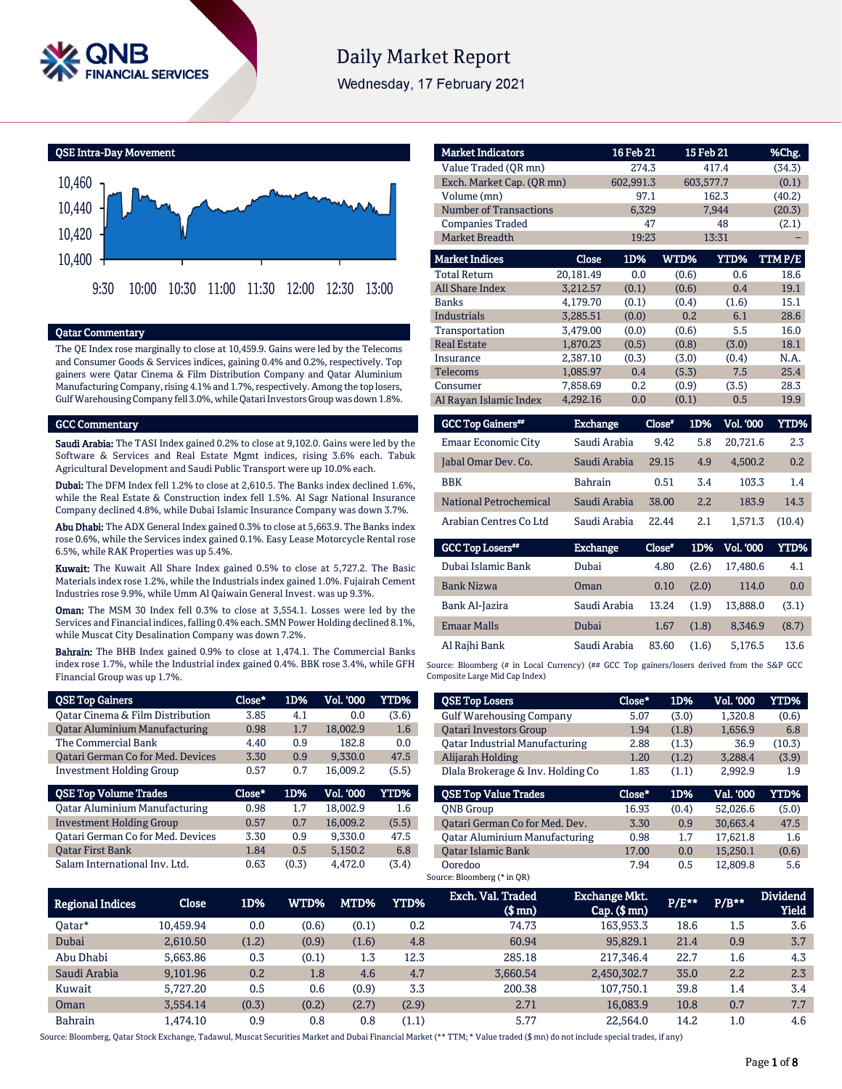

# **Daily Market Report**

Wednesday, 17 February 2021

QSE Intra-Day Movement



# Qatar Commentary

The QE Index rose marginally to close at 10,459.9. Gains were led by the Telecoms and Consumer Goods & Services indices, gaining 0.4% and 0.2%, respectively. Top gainers were Qatar Cinema & Film Distribution Company and Qatar Aluminium Manufacturing Company, rising 4.1% and 1.7%, respectively. Among the top losers, Gulf Warehousing Company fell 3.0%, while Qatari Investors Group was down 1.8%.

#### GCC Commentary

Saudi Arabia: The TASI Index gained 0.2% to close at 9,102.0. Gains were led by the Software & Services and Real Estate Mgmt indices, rising 3.6% each. Tabuk Agricultural Development and Saudi Public Transport were up 10.0% each.

Dubai: The DFM Index fell 1.2% to close at 2,610.5. The Banks index declined 1.6%, while the Real Estate & Construction index fell 1.5%. Al Sagr National Insurance Company declined 4.8%, while Dubai Islamic Insurance Company was down 3.7%.

Abu Dhabi: The ADX General Index gained 0.3% to close at 5,663.9. The Banks index rose 0.6%, while the Services index gained 0.1%. Easy Lease Motorcycle Rental rose 6.5%, while RAK Properties was up 5.4%.

Kuwait: The Kuwait All Share Index gained 0.5% to close at 5,727.2. The Basic Materials index rose 1.2%, while the Industrials index gained 1.0%. Fujairah Cement Industries rose 9.9%, while Umm Al Qaiwain General Invest. was up 9.3%.

Oman: The MSM 30 Index fell 0.3% to close at 3,554.1. Losses were led by the Services and Financial indices, falling 0.4% each. SMN Power Holding declined 8.1%, while Muscat City Desalination Company was down 7.2%.

Bahrain: The BHB Index gained 0.9% to close at 1,474.1. The Commercial Banks index rose 1.7%, while the Industrial index gained 0.4%. BBK rose 3.4%, while GFH Financial Group was up 1.7%.

| <b>QSE Top Gainers</b>                   | Close* | 1D% | Vol. '000 | YTD%  |
|------------------------------------------|--------|-----|-----------|-------|
| Oatar Cinema & Film Distribution         | 3.85   | 4.1 | 0.0       | (3.6) |
| <b>Qatar Aluminium Manufacturing</b>     | 0.98   | 1.7 | 18,002.9  | 1.6   |
| The Commercial Bank                      | 4.40   | 0.9 | 182.8     | 0.0   |
| <b>Qatari German Co for Med. Devices</b> | 3.30   | 0.9 | 9.330.0   | 47.5  |
| <b>Investment Holding Group</b>          | 0.57   | 0.7 | 16.009.2  | (5.5) |
|                                          |        |     |           |       |
| <b>QSE Top Volume Trades</b>             | Close* | 1D% | Vol. '000 | YTD%  |
| <b>Qatar Aluminium Manufacturing</b>     | 0.98   | 1.7 | 18.002.9  | 1.6   |
| <b>Investment Holding Group</b>          | 0.57   | 0.7 | 16,009.2  | (5.5) |
| <b>Qatari German Co for Med. Devices</b> | 3.30   | 0.9 | 9.330.0   | 47.5  |
| <b>Oatar First Bank</b>                  | 1.84   | 0.5 | 5.150.2   | 6.8   |

| <b>Market Indicators</b>      |                 | 16 Feb 21 |               | 15 Feb 21        | %Chg.         |
|-------------------------------|-----------------|-----------|---------------|------------------|---------------|
| Value Traded (OR mn)          |                 | 274.3     |               | 417.4            | (34.3)        |
| Exch. Market Cap. (QR mn)     |                 | 602,991.3 |               | 603,577.7        | (0.1)         |
| Volume (mn)                   |                 | 97.1      |               | 162.3            | (40.2)        |
| <b>Number of Transactions</b> |                 | 6,329     |               | 7,944            | (20.3)        |
| <b>Companies Traded</b>       |                 | 47        |               | 48               | (2.1)         |
| <b>Market Breadth</b>         |                 | 19:23     |               | 13:31            |               |
| <b>Market Indices</b>         | <b>Close</b>    | 1D%       | WTD%          | YTD%             | <b>TTMP/E</b> |
| <b>Total Return</b>           | 20,181.49       | 0.0       | (0.6)         | 0.6              | 18.6          |
| <b>All Share Index</b>        | 3,212.57        | (0.1)     | (0.6)         | 0.4              | 19.1          |
| <b>Banks</b>                  | 4.179.70        | (0.1)     | (0.4)         | (1.6)            | 15.1          |
| <b>Industrials</b>            | 3,285.51        | (0.0)     | 0.2           | 6.1              | 28.6          |
| Transportation                | 3,479.00        | (0.0)     | (0.6)         | 5.5              | 16.0          |
| <b>Real Estate</b>            | 1,870.23        | (0.5)     | (0.8)         | (3.0)            | 18.1          |
| Insurance                     | 2,387.10        | (0.3)     | (3.0)         | (0.4)            | N.A.          |
| Telecoms                      | 1.085.97        | 0.4       | (5.3)         | 7.5              | 25.4          |
| Consumer                      | 7,858.69        | 0.2       | (0.9)         | (3.5)            | 28.3          |
| Al Rayan Islamic Index        | 4,292.16        | 0.0       | (0.1)         | 0.5              | 19.9          |
| <b>GCC Top Gainers**</b>      | <b>Exchange</b> |           | Close*<br>1D% | <b>Vol. '000</b> | <b>YTD%</b>   |

| <b>OUL TOD OQUICES</b>     | <b>LAURIEC</b> | <b>CIUSE</b> | 1 <i>00</i> | vul. uuu | 111/0  |
|----------------------------|----------------|--------------|-------------|----------|--------|
| <b>Emaar Economic City</b> | Saudi Arabia   | 9.42         | 5.8         | 20.721.6 | 2.3    |
| Jabal Omar Dev. Co.        | Saudi Arabia   | 29.15        | 4.9         | 4.500.2  | 0.2    |
| <b>BBK</b>                 | <b>Bahrain</b> | 0.51         | 3.4         | 103.3    | 1.4    |
| National Petrochemical     | Saudi Arabia   | 38.00        | 2.2         | 183.9    | 14.3   |
| Arabian Centres Co Ltd     | Saudi Arabia   | 22.44        | 2.1         | 1.571.3  | (10.4) |

| <b>GCC Top Losers</b> | <b>Exchange</b> | Close" | 1D%   | Vol. '000 | YTD%  |
|-----------------------|-----------------|--------|-------|-----------|-------|
| Dubai Islamic Bank    | Dubai           | 4.80   | (2.6) | 17.480.6  | 4.1   |
| <b>Bank Nizwa</b>     | Oman            | 0.10   | (2.0) | 114.0     | 0.0   |
| Bank Al-Jazira        | Saudi Arabia    | 13.24  | (1.9) | 13.888.0  | (3.1) |
| <b>Emaar Malls</b>    | Dubai           | 1.67   | (1.8) | 8.346.9   | (8.7) |
| Al Rajhi Bank         | Saudi Arabia    | 83.60  | (1.6) | 5,176.5   | 13.6  |

Source: Bloomberg (# in Local Currency) (## GCC Top gainers/losers derived from the S&P GCC Composite Large Mid Cap Index)

| <b>QSE Top Losers</b>                 | Close* | 1D%   | Vol. '000 | YTD%   |
|---------------------------------------|--------|-------|-----------|--------|
| <b>Gulf Warehousing Company</b>       | 5.07   | (3.0) | 1.320.8   | (0.6)  |
| <b>Oatari Investors Group</b>         | 1.94   | (1.8) | 1,656.9   | 6.8    |
| <b>Oatar Industrial Manufacturing</b> | 2.88   | (1.3) | 36.9      | (10.3) |
| Alijarah Holding                      | 1.20   | (1.2) | 3.288.4   | (3.9)  |
| Dlala Brokerage & Inv. Holding Co     | 1.83   | (1.1) | 2,992.9   | 1.9    |
|                                       |        |       |           |        |
| <b>OSE Top Value Trades</b>           | Close* | 1D%   | Val. '000 | YTD%   |
| <b>ONB</b> Group                      | 16.93  | (0.4) | 52.026.6  | (5.0)  |
| Qatari German Co for Med. Dev.        | 3.30   | 0.9   | 30.663.4  | 47.5   |
| <b>Qatar Aluminium Manufacturing</b>  | 0.98   | 1.7   | 17.621.8  | 1.6    |
| <b>Oatar Islamic Bank</b>             | 17.00  | 0.0   | 15,250.1  | (0.6)  |

| <b>Regional Indices</b> | <b>Close</b> | 1D%   | WTD%  | MTD%  | YTD%  | Exch. Val. Traded<br>(\$ mn) | <b>Exchange Mkt.</b><br>$Cap.$ (\$ $mn$ ) | P/E** | $P/B**$ | <b>Dividend</b><br><b>Yield</b> |
|-------------------------|--------------|-------|-------|-------|-------|------------------------------|-------------------------------------------|-------|---------|---------------------------------|
| Oatar*                  | 10.459.94    | 0.0   | (0.6) | (0.1) | 0.2   | 74.73                        | 163,953.3                                 | 18.6  | 1.5     | 3.6                             |
| Dubai                   | 2.610.50     | (1.2) | (0.9) | (1.6) | 4.8   | 60.94                        | 95,829.1                                  | 21.4  | 0.9     | 3.7                             |
| Abu Dhabi               | 5.663.86     | 0.3   | (0.1) | 1.3   | 12.3  | 285.18                       | 217,346.4                                 | 22.7  | 1.6     | 4.3                             |
| Saudi Arabia            | 9,101.96     | 0.2   | 1.8   | 4.6   | 4.7   | 3.660.54                     | 2,450,302.7                               | 35.0  | 2.2     | 2.3                             |
| Kuwait                  | 5.727.20     | 0.5   | 0.6   | (0.9) | 3.3   | 200.38                       | 107.750.1                                 | 39.8  | 1.4     | 3.4                             |
| Oman                    | 3.554.14     | (0.3) | (0.2) | (2.7) | (2.9) | 2.71                         | 16,083.9                                  | 10.8  | 0.7     | 7.7                             |
| <b>Bahrain</b>          | 1.474.10     | 0.9   | 0.8   | 0.8   | (1.1) | 5.77                         | 22.564.0                                  | 14.2  | $1.0\,$ | 4.6                             |

Source: Bloomberg, Qatar Stock Exchange, Tadawul, Muscat Securities Market and Dubai Financial Market (\*\* TTM; \* Value traded (\$ mn) do not include special trades, if any)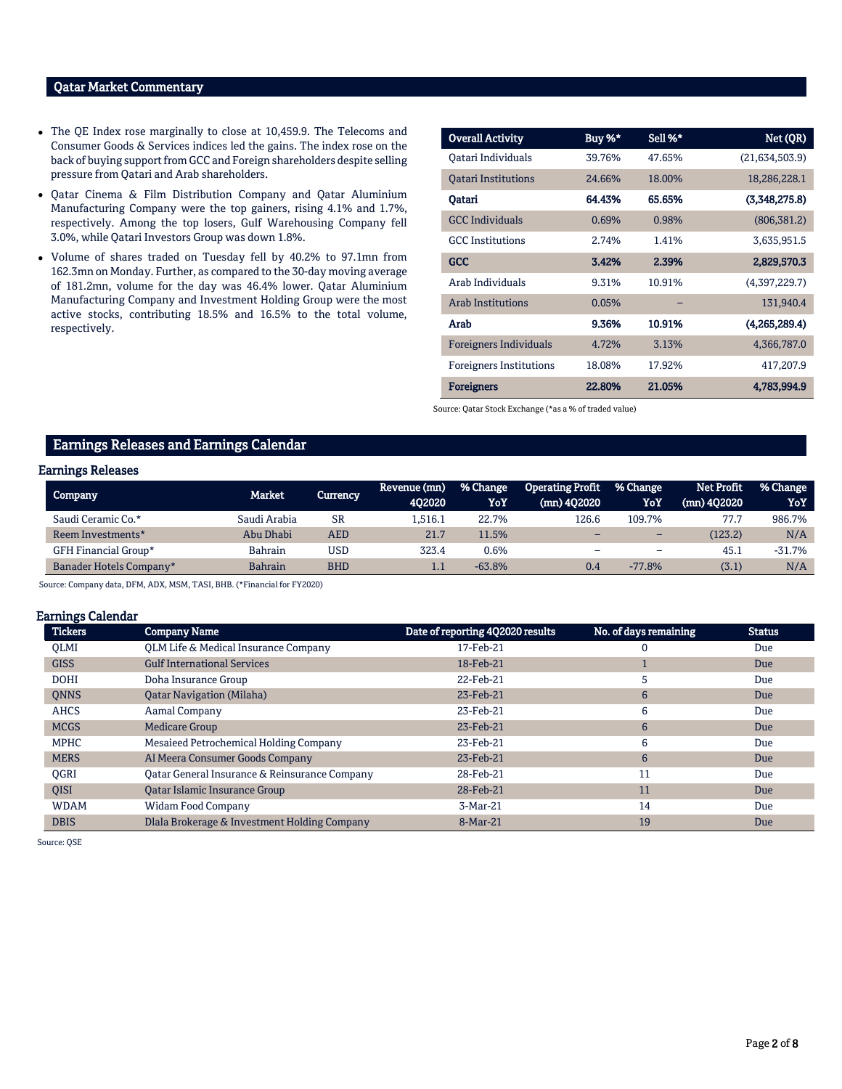# Qatar Market Commentary

- The QE Index rose marginally to close at 10,459.9. The Telecoms and Consumer Goods & Services indices led the gains. The index rose on the back of buying support from GCC and Foreign shareholders despite selling pressure from Qatari and Arab shareholders.
- Qatar Cinema & Film Distribution Company and Qatar Aluminium Manufacturing Company were the top gainers, rising 4.1% and 1.7%, respectively. Among the top losers, Gulf Warehousing Company fell 3.0%, while Qatari Investors Group was down 1.8%.
- Volume of shares traded on Tuesday fell by 40.2% to 97.1mn from 162.3mn on Monday. Further, as compared to the 30-day moving average of 181.2mn, volume for the day was 46.4% lower. Qatar Aluminium Manufacturing Company and Investment Holding Group were the most active stocks, contributing 18.5% and 16.5% to the total volume, respectively.

| <b>Overall Activity</b>        | Buy %* | Sell %* | Net (QR)       |
|--------------------------------|--------|---------|----------------|
| Oatari Individuals             | 39.76% | 47.65%  | (21,634,503.9) |
| <b>Oatari Institutions</b>     | 24.66% | 18.00%  | 18,286,228.1   |
| Oatari                         | 64.43% | 65.65%  | (3,348,275.8)  |
| <b>GCC Individuals</b>         | 0.69%  | 0.98%   | (806, 381.2)   |
| <b>GCC</b> Institutions        | 2.74%  | 1.41%   | 3,635,951.5    |
| <b>GCC</b>                     | 3.42%  | 2.39%   | 2,829,570.3    |
| Arab Individuals               | 9.31%  | 10.91%  | (4,397,229.7)  |
| <b>Arab Institutions</b>       | 0.05%  |         | 131,940.4      |
| Arab                           | 9.36%  | 10.91%  | (4,265,289.4)  |
| <b>Foreigners Individuals</b>  | 4.72%  | 3.13%   | 4,366,787.0    |
| <b>Foreigners Institutions</b> | 18.08% | 17.92%  | 417,207.9      |
| <b>Foreigners</b>              | 22.80% | 21.05%  | 4,783,994.9    |

Source: Qatar Stock Exchange (\*as a % of traded value)

# Earnings Releases and Earnings Calendar

# Earnings Releases

| <b>Company</b>          | Market         | Currency   | Revenue (mn)<br>402020 | % Change<br>YoY | <b>Operating Profit</b><br>(mn) 402020 | % Change<br>YoY          | Net Profit<br>(mn) 402020 | % Change<br>YoY |
|-------------------------|----------------|------------|------------------------|-----------------|----------------------------------------|--------------------------|---------------------------|-----------------|
| Saudi Ceramic Co.*      | Saudi Arabia   | SR         | l.516.1                | 22.7%           | 126.6                                  | 109.7%                   | 77.7                      | 986.7%          |
| Reem Investments*       | Abu Dhabi      | AED        | 21.7                   | 11.5%           |                                        | $\overline{\phantom{0}}$ | (123.2)                   | N/A             |
| GFH Financial Group*    | Bahrain        | USD        | 323.4                  | 0.6%            |                                        |                          | 45.1                      | $-31.7%$        |
| Banader Hotels Company* | <b>Bahrain</b> | <b>BHD</b> | 1.1                    | $-63.8%$        | 0.4                                    | $-77.8%$                 | (3.1)                     | N/A             |

Source: Company data, DFM, ADX, MSM, TASI, BHB. (\*Financial for FY2020)

#### Earnings Calendar

| <b>Tickers</b> | <b>Company Name</b>                           | Date of reporting 4Q2020 results | No. of days remaining | <b>Status</b> |
|----------------|-----------------------------------------------|----------------------------------|-----------------------|---------------|
| <b>OLMI</b>    | QLM Life & Medical Insurance Company          | 17-Feb-21                        |                       | Due           |
| <b>GISS</b>    | <b>Gulf International Services</b>            | 18-Feb-21                        |                       | Due           |
| <b>DOHI</b>    | Doha Insurance Group                          | 22-Feb-21                        | 5                     | Due           |
| <b>ONNS</b>    | <b>Oatar Navigation (Milaha)</b>              | 23-Feb-21                        | 6                     | Due           |
| <b>AHCS</b>    | Aamal Company                                 | 23-Feb-21                        | 6                     | Due           |
| <b>MCGS</b>    | <b>Medicare Group</b>                         | 23-Feb-21                        | 6                     | Due           |
| <b>MPHC</b>    | Mesaieed Petrochemical Holding Company        | 23-Feb-21                        | 6                     | Due           |
| <b>MERS</b>    | Al Meera Consumer Goods Company               | 23-Feb-21                        | 6                     | Due           |
| <b>OGRI</b>    | Oatar General Insurance & Reinsurance Company | 28-Feb-21                        | 11                    | Due           |
| <b>OISI</b>    | Qatar Islamic Insurance Group                 | 28-Feb-21                        | 11                    | Due           |
| <b>WDAM</b>    | <b>Widam Food Company</b>                     | 3-Mar-21                         | 14                    | Due           |
| <b>DBIS</b>    | Dlala Brokerage & Investment Holding Company  | 8-Mar-21                         | 19                    | Due           |

Source: QSE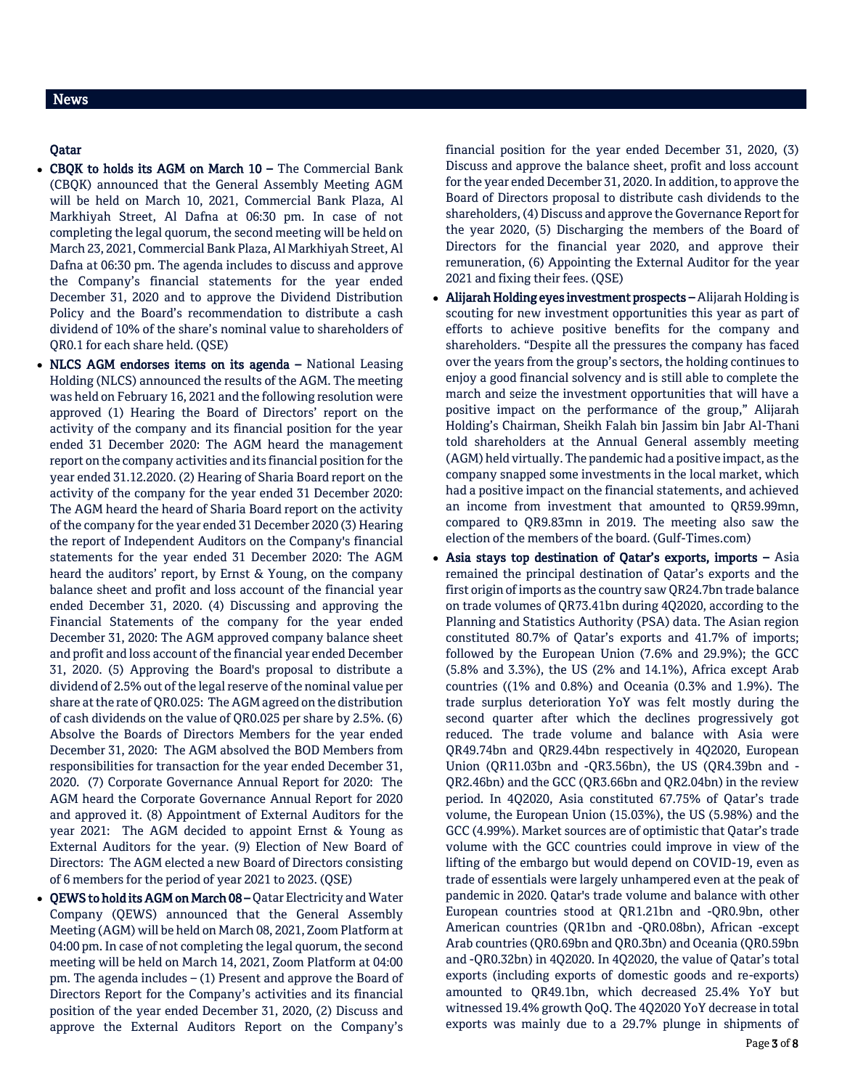# Qatar

- CBQK to holds its AGM on March 10 The Commercial Bank (CBQK) announced that the General Assembly Meeting AGM will be held on March 10, 2021, Commercial Bank Plaza, Al Markhiyah Street, Al Dafna at 06:30 pm. In case of not completing the legal quorum, the second meeting will be held on March 23, 2021, Commercial Bank Plaza, Al Markhiyah Street, Al Dafna at 06:30 pm. The agenda includes to discuss and approve the Company's financial statements for the year ended December 31, 2020 and to approve the Dividend Distribution Policy and the Board's recommendation to distribute a cash dividend of 10% of the share's nominal value to shareholders of QR0.1 for each share held. (QSE)
- NLCS AGM endorses items on its agenda National Leasing Holding (NLCS) announced the results of the AGM. The meeting was held on February 16, 2021 and the following resolution were approved (1) Hearing the Board of Directors' report on the activity of the company and its financial position for the year ended 31 December 2020: The AGM heard the management report on the company activities and its financial position for the year ended 31.12.2020. (2) Hearing of Sharia Board report on the activity of the company for the year ended 31 December 2020: The AGM heard the heard of Sharia Board report on the activity of the company for the year ended 31 December 2020 (3) Hearing the report of Independent Auditors on the Company's financial statements for the year ended 31 December 2020: The AGM heard the auditors' report, by Ernst & Young, on the company balance sheet and profit and loss account of the financial year ended December 31, 2020. (4) Discussing and approving the Financial Statements of the company for the year ended December 31, 2020: The AGM approved company balance sheet and profit and loss account of the financial year ended December 31, 2020. (5) Approving the Board's proposal to distribute a dividend of 2.5% out of the legal reserve of the nominal value per share at the rate of QR0.025: The AGM agreed on the distribution of cash dividends on the value of QR0.025 per share by 2.5%. (6) Absolve the Boards of Directors Members for the year ended December 31, 2020: The AGM absolved the BOD Members from responsibilities for transaction for the year ended December 31, 2020. (7) Corporate Governance Annual Report for 2020: The AGM heard the Corporate Governance Annual Report for 2020 and approved it. (8) Appointment of External Auditors for the year 2021: The AGM decided to appoint Ernst & Young as External Auditors for the year. (9) Election of New Board of Directors: The AGM elected a new Board of Directors consisting of 6 members for the period of year 2021 to 2023. (QSE)
- QEWS to hold its AGM on March 08 Qatar Electricity and Water Company (QEWS) announced that the General Assembly Meeting (AGM) will be held on March 08, 2021, Zoom Platform at 04:00 pm. In case of not completing the legal quorum, the second meeting will be held on March 14, 2021, Zoom Platform at 04:00 pm. The agenda includes – (1) Present and approve the Board of Directors Report for the Company's activities and its financial position of the year ended December 31, 2020, (2) Discuss and approve the External Auditors Report on the Company's

financial position for the year ended December 31, 2020, (3) Discuss and approve the balance sheet, profit and loss account for the year ended December 31, 2020. In addition, to approve the Board of Directors proposal to distribute cash dividends to the shareholders, (4) Discuss and approve the Governance Report for the year 2020, (5) Discharging the members of the Board of Directors for the financial year 2020, and approve their remuneration, (6) Appointing the External Auditor for the year 2021 and fixing their fees. (QSE)

- Alijarah Holding eyes investment prospects Alijarah Holding is scouting for new investment opportunities this year as part of efforts to achieve positive benefits for the company and shareholders. "Despite all the pressures the company has faced over the years from the group's sectors, the holding continues to enjoy a good financial solvency and is still able to complete the march and seize the investment opportunities that will have a positive impact on the performance of the group," Alijarah Holding's Chairman, Sheikh Falah bin Jassim bin Jabr Al-Thani told shareholders at the Annual General assembly meeting (AGM) held virtually. The pandemic had a positive impact, as the company snapped some investments in the local market, which had a positive impact on the financial statements, and achieved an income from investment that amounted to QR59.99mn, compared to QR9.83mn in 2019. The meeting also saw the election of the members of the board. (Gulf-Times.com)
- Asia stays top destination of Qatar's exports, imports Asia remained the principal destination of Qatar's exports and the first origin of imports as the country saw QR24.7bn trade balance on trade volumes of QR73.41bn during 4Q2020, according to the Planning and Statistics Authority (PSA) data. The Asian region constituted 80.7% of Qatar's exports and 41.7% of imports; followed by the European Union (7.6% and 29.9%); the GCC (5.8% and 3.3%), the US (2% and 14.1%), Africa except Arab countries ((1% and 0.8%) and Oceania (0.3% and 1.9%). The trade surplus deterioration YoY was felt mostly during the second quarter after which the declines progressively got reduced. The trade volume and balance with Asia were QR49.74bn and QR29.44bn respectively in 4Q2020, European Union (QR11.03bn and -QR3.56bn), the US (QR4.39bn and - QR2.46bn) and the GCC (QR3.66bn and QR2.04bn) in the review period. In 4Q2020, Asia constituted 67.75% of Qatar's trade volume, the European Union (15.03%), the US (5.98%) and the GCC (4.99%). Market sources are of optimistic that Qatar's trade volume with the GCC countries could improve in view of the lifting of the embargo but would depend on COVID-19, even as trade of essentials were largely unhampered even at the peak of pandemic in 2020. Qatar's trade volume and balance with other European countries stood at QR1.21bn and -QR0.9bn, other American countries (QR1bn and -QR0.08bn), African -except Arab countries (QR0.69bn and QR0.3bn) and Oceania (QR0.59bn and -QR0.32bn) in 4Q2020. In 4Q2020, the value of Qatar's total exports (including exports of domestic goods and re-exports) amounted to QR49.1bn, which decreased 25.4% YoY but witnessed 19.4% growth QoQ. The 4Q2020 YoY decrease in total exports was mainly due to a 29.7% plunge in shipments of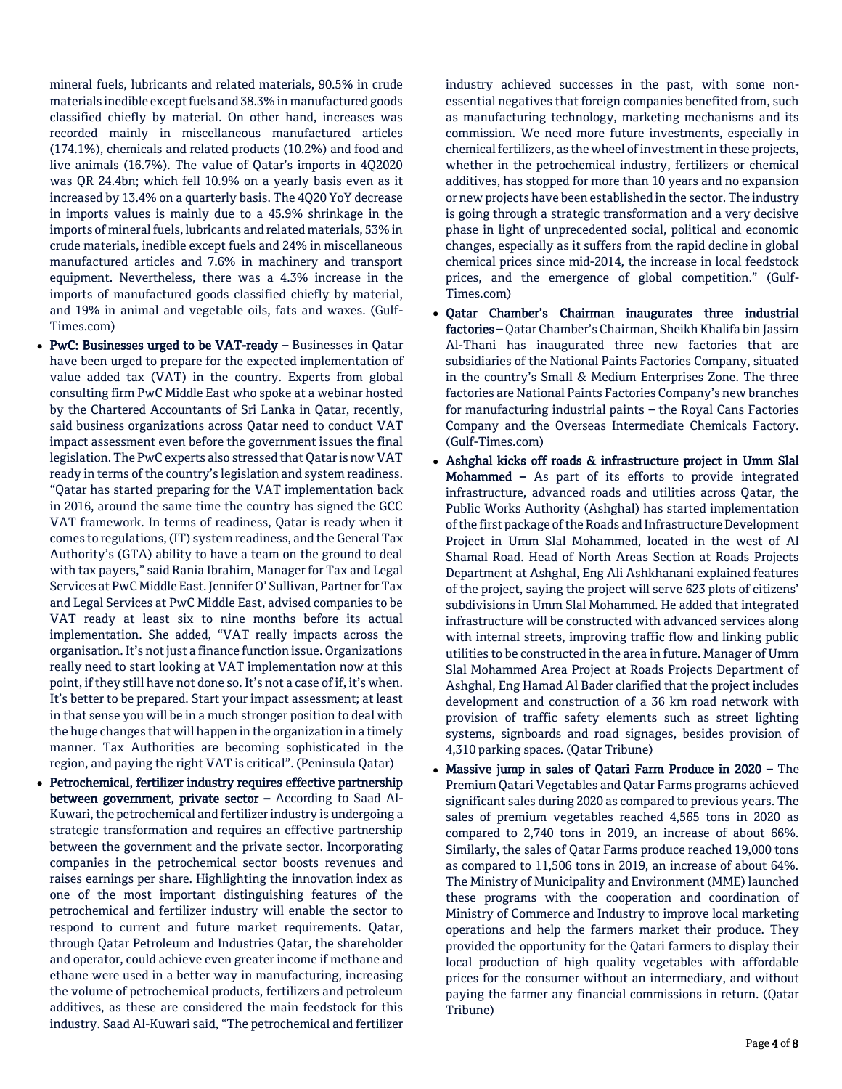mineral fuels, lubricants and related materials, 90.5% in crude materials inedible except fuels and 38.3% in manufactured goods classified chiefly by material. On other hand, increases was recorded mainly in miscellaneous manufactured articles (174.1%), chemicals and related products (10.2%) and food and live animals (16.7%). The value of Qatar's imports in 4Q2020 was QR 24.4bn; which fell 10.9% on a yearly basis even as it increased by 13.4% on a quarterly basis. The 4Q20 YoY decrease in imports values is mainly due to a 45.9% shrinkage in the imports of mineral fuels, lubricants and related materials, 53% in crude materials, inedible except fuels and 24% in miscellaneous manufactured articles and 7.6% in machinery and transport equipment. Nevertheless, there was a 4.3% increase in the imports of manufactured goods classified chiefly by material, and 19% in animal and vegetable oils, fats and waxes. (Gulf-Times.com)

- PwC: Businesses urged to be VAT-ready Businesses in Qatar have been urged to prepare for the expected implementation of value added tax (VAT) in the country. Experts from global consulting firm PwC Middle East who spoke at a webinar hosted by the Chartered Accountants of Sri Lanka in Qatar, recently, said business organizations across Qatar need to conduct VAT impact assessment even before the government issues the final legislation. The PwC experts also stressed that Qatar is now VAT ready in terms of the country's legislation and system readiness. "Qatar has started preparing for the VAT implementation back in 2016, around the same time the country has signed the GCC VAT framework. In terms of readiness, Qatar is ready when it comes to regulations, (IT) system readiness, and the General Tax Authority's (GTA) ability to have a team on the ground to deal with tax payers," said Rania Ibrahim, Manager for Tax and Legal Services at PwC Middle East. Jennifer O' Sullivan, Partner for Tax and Legal Services at PwC Middle East, advised companies to be VAT ready at least six to nine months before its actual implementation. She added, "VAT really impacts across the organisation. It's not just a finance function issue. Organizations really need to start looking at VAT implementation now at this point, if they still have not done so. It's not a case of if, it's when. It's better to be prepared. Start your impact assessment; at least in that sense you will be in a much stronger position to deal with the huge changes that will happen in the organization in a timely manner. Tax Authorities are becoming sophisticated in the region, and paying the right VAT is critical". (Peninsula Qatar)
- Petrochemical, fertilizer industry requires effective partnership between government, private sector – According to Saad Al-Kuwari, the petrochemical and fertilizer industry is undergoing a strategic transformation and requires an effective partnership between the government and the private sector. Incorporating companies in the petrochemical sector boosts revenues and raises earnings per share. Highlighting the innovation index as one of the most important distinguishing features of the petrochemical and fertilizer industry will enable the sector to respond to current and future market requirements. Qatar, through Qatar Petroleum and Industries Qatar, the shareholder and operator, could achieve even greater income if methane and ethane were used in a better way in manufacturing, increasing the volume of petrochemical products, fertilizers and petroleum additives, as these are considered the main feedstock for this industry. Saad Al-Kuwari said, "The petrochemical and fertilizer

industry achieved successes in the past, with some nonessential negatives that foreign companies benefited from, such as manufacturing technology, marketing mechanisms and its commission. We need more future investments, especially in chemical fertilizers, as the wheel of investment in these projects, whether in the petrochemical industry, fertilizers or chemical additives, has stopped for more than 10 years and no expansion or new projects have been established in the sector. The industry is going through a strategic transformation and a very decisive phase in light of unprecedented social, political and economic changes, especially as it suffers from the rapid decline in global chemical prices since mid-2014, the increase in local feedstock prices, and the emergence of global competition." (Gulf-Times.com)

- Qatar Chamber's Chairman inaugurates three industrial factories – Qatar Chamber's Chairman, Sheikh Khalifa bin Jassim Al-Thani has inaugurated three new factories that are subsidiaries of the National Paints Factories Company, situated in the country's Small & Medium Enterprises Zone. The three factories are National Paints Factories Company's new branches for manufacturing industrial paints – the Royal Cans Factories Company and the Overseas Intermediate Chemicals Factory. (Gulf-Times.com)
- Ashghal kicks off roads & infrastructure project in Umm Slal Mohammed – As part of its efforts to provide integrated infrastructure, advanced roads and utilities across Qatar, the Public Works Authority (Ashghal) has started implementation of the first package of the Roads and Infrastructure Development Project in Umm Slal Mohammed, located in the west of Al Shamal Road. Head of North Areas Section at Roads Projects Department at Ashghal, Eng Ali Ashkhanani explained features of the project, saying the project will serve 623 plots of citizens' subdivisions in Umm Slal Mohammed. He added that integrated infrastructure will be constructed with advanced services along with internal streets, improving traffic flow and linking public utilities to be constructed in the area in future. Manager of Umm Slal Mohammed Area Project at Roads Projects Department of Ashghal, Eng Hamad Al Bader clarified that the project includes development and construction of a 36 km road network with provision of traffic safety elements such as street lighting systems, signboards and road signages, besides provision of 4,310 parking spaces. (Qatar Tribune)
- Massive jump in sales of Qatari Farm Produce in 2020 The Premium Qatari Vegetables and Qatar Farms programs achieved significant sales during 2020 as compared to previous years. The sales of premium vegetables reached 4,565 tons in 2020 as compared to 2,740 tons in 2019, an increase of about 66%. Similarly, the sales of Qatar Farms produce reached 19,000 tons as compared to 11,506 tons in 2019, an increase of about 64%. The Ministry of Municipality and Environment (MME) launched these programs with the cooperation and coordination of Ministry of Commerce and Industry to improve local marketing operations and help the farmers market their produce. They provided the opportunity for the Qatari farmers to display their local production of high quality vegetables with affordable prices for the consumer without an intermediary, and without paying the farmer any financial commissions in return. (Qatar Tribune)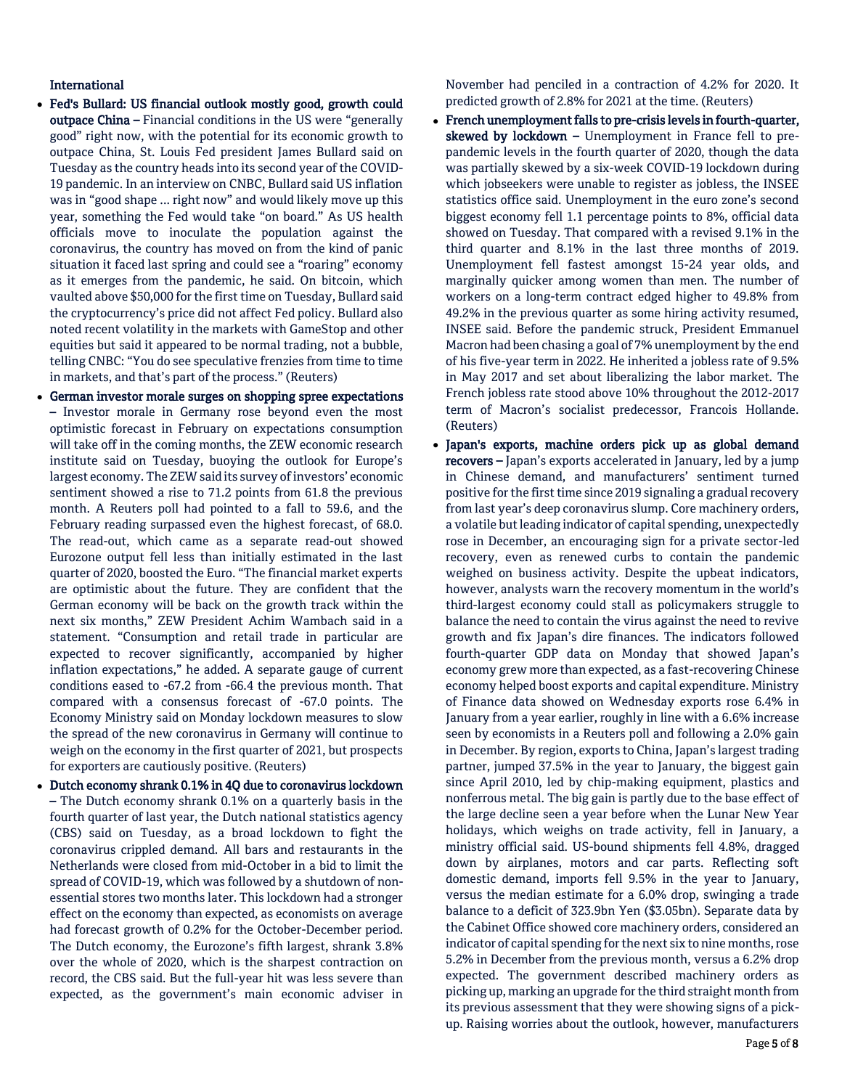# International

- Fed's Bullard: US financial outlook mostly good, growth could outpace China – Financial conditions in the US were "generally good" right now, with the potential for its economic growth to outpace China, St. Louis Fed president James Bullard said on Tuesday as the country heads into its second year of the COVID-19 pandemic. In an interview on CNBC, Bullard said US inflation was in "good shape ... right now" and would likely move up this year, something the Fed would take "on board." As US health officials move to inoculate the population against the coronavirus, the country has moved on from the kind of panic situation it faced last spring and could see a "roaring" economy as it emerges from the pandemic, he said. On bitcoin, which vaulted above \$50,000 for the first time on Tuesday, Bullard said the cryptocurrency's price did not affect Fed policy. Bullard also noted recent volatility in the markets with GameStop and other equities but said it appeared to be normal trading, not a bubble, telling CNBC: "You do see speculative frenzies from time to time in markets, and that's part of the process." (Reuters)
- German investor morale surges on shopping spree expectations – Investor morale in Germany rose beyond even the most optimistic forecast in February on expectations consumption will take off in the coming months, the ZEW economic research institute said on Tuesday, buoying the outlook for Europe's largest economy. The ZEW said its survey of investors' economic sentiment showed a rise to 71.2 points from 61.8 the previous month. A Reuters poll had pointed to a fall to 59.6, and the February reading surpassed even the highest forecast, of 68.0. The read-out, which came as a separate read-out showed Eurozone output fell less than initially estimated in the last quarter of 2020, boosted the Euro. "The financial market experts are optimistic about the future. They are confident that the German economy will be back on the growth track within the next six months," ZEW President Achim Wambach said in a statement. "Consumption and retail trade in particular are expected to recover significantly, accompanied by higher inflation expectations," he added. A separate gauge of current conditions eased to -67.2 from -66.4 the previous month. That compared with a consensus forecast of -67.0 points. The Economy Ministry said on Monday lockdown measures to slow the spread of the new coronavirus in Germany will continue to weigh on the economy in the first quarter of 2021, but prospects for exporters are cautiously positive. (Reuters)
- Dutch economy shrank 0.1% in 4Q due to coronavirus lockdown – The Dutch economy shrank 0.1% on a quarterly basis in the fourth quarter of last year, the Dutch national statistics agency (CBS) said on Tuesday, as a broad lockdown to fight the coronavirus crippled demand. All bars and restaurants in the Netherlands were closed from mid-October in a bid to limit the spread of COVID-19, which was followed by a shutdown of nonessential stores two months later. This lockdown had a stronger effect on the economy than expected, as economists on average had forecast growth of 0.2% for the October-December period. The Dutch economy, the Eurozone's fifth largest, shrank 3.8% over the whole of 2020, which is the sharpest contraction on record, the CBS said. But the full-year hit was less severe than expected, as the government's main economic adviser in

November had penciled in a contraction of 4.2% for 2020. It predicted growth of 2.8% for 2021 at the time. (Reuters)

- French unemployment falls to pre-crisis levels in fourth-quarter, skewed by lockdown - Unemployment in France fell to prepandemic levels in the fourth quarter of 2020, though the data was partially skewed by a six-week COVID-19 lockdown during which jobseekers were unable to register as jobless, the INSEE statistics office said. Unemployment in the euro zone's second biggest economy fell 1.1 percentage points to 8%, official data showed on Tuesday. That compared with a revised 9.1% in the third quarter and 8.1% in the last three months of 2019. Unemployment fell fastest amongst 15-24 year olds, and marginally quicker among women than men. The number of workers on a long-term contract edged higher to 49.8% from 49.2% in the previous quarter as some hiring activity resumed, INSEE said. Before the pandemic struck, President Emmanuel Macron had been chasing a goal of 7% unemployment by the end of his five-year term in 2022. He inherited a jobless rate of 9.5% in May 2017 and set about liberalizing the labor market. The French jobless rate stood above 10% throughout the 2012-2017 term of Macron's socialist predecessor, Francois Hollande. (Reuters)
- Japan's exports, machine orders pick up as global demand recovers – Japan's exports accelerated in January, led by a jump in Chinese demand, and manufacturers' sentiment turned positive for the first time since 2019 signaling a gradual recovery from last year's deep coronavirus slump. Core machinery orders, a volatile but leading indicator of capital spending, unexpectedly rose in December, an encouraging sign for a private sector-led recovery, even as renewed curbs to contain the pandemic weighed on business activity. Despite the upbeat indicators, however, analysts warn the recovery momentum in the world's third-largest economy could stall as policymakers struggle to balance the need to contain the virus against the need to revive growth and fix Japan's dire finances. The indicators followed fourth-quarter GDP data on Monday that showed Japan's economy grew more than expected, as a fast-recovering Chinese economy helped boost exports and capital expenditure. Ministry of Finance data showed on Wednesday exports rose 6.4% in January from a year earlier, roughly in line with a 6.6% increase seen by economists in a Reuters poll and following a 2.0% gain in December. By region, exports to China, Japan's largest trading partner, jumped 37.5% in the year to January, the biggest gain since April 2010, led by chip-making equipment, plastics and nonferrous metal. The big gain is partly due to the base effect of the large decline seen a year before when the Lunar New Year holidays, which weighs on trade activity, fell in January, a ministry official said. US-bound shipments fell 4.8%, dragged down by airplanes, motors and car parts. Reflecting soft domestic demand, imports fell 9.5% in the year to January, versus the median estimate for a 6.0% drop, swinging a trade balance to a deficit of 323.9bn Yen (\$3.05bn). Separate data by the Cabinet Office showed core machinery orders, considered an indicator of capital spending for the next six to nine months, rose 5.2% in December from the previous month, versus a 6.2% drop expected. The government described machinery orders as picking up, marking an upgrade for the third straight month from its previous assessment that they were showing signs of a pickup. Raising worries about the outlook, however, manufacturers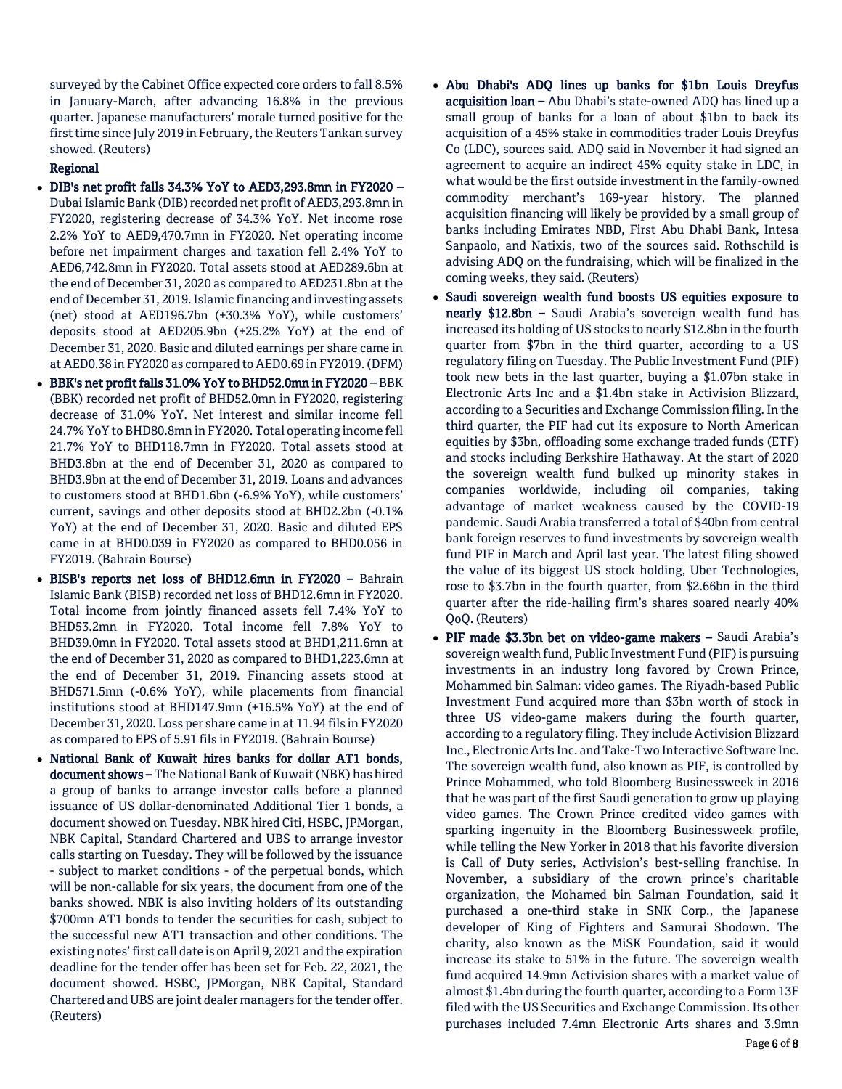surveyed by the Cabinet Office expected core orders to fall 8.5% in January-March, after advancing 16.8% in the previous quarter. Japanese manufacturers' morale turned positive for the first time since July 2019 in February, the Reuters Tankan survey showed. (Reuters)

# Regional

- DIB's net profit falls 34.3% YoY to AED3,293.8mn in FY2020 Dubai Islamic Bank (DIB) recorded net profit of AED3,293.8mn in FY2020, registering decrease of 34.3% YoY. Net income rose 2.2% YoY to AED9,470.7mn in FY2020. Net operating income before net impairment charges and taxation fell 2.4% YoY to AED6,742.8mn in FY2020. Total assets stood at AED289.6bn at the end of December 31, 2020 as compared to AED231.8bn at the end of December 31, 2019. Islamic financing and investing assets (net) stood at AED196.7bn (+30.3% YoY), while customers' deposits stood at AED205.9bn (+25.2% YoY) at the end of December 31, 2020. Basic and diluted earnings per share came in at AED0.38 in FY2020 as compared to AED0.69 in FY2019. (DFM)
- BBK's net profit falls 31.0% YoY to BHD52.0mn in FY2020 BBK (BBK) recorded net profit of BHD52.0mn in FY2020, registering decrease of 31.0% YoY. Net interest and similar income fell 24.7% YoY to BHD80.8mn in FY2020. Total operating income fell 21.7% YoY to BHD118.7mn in FY2020. Total assets stood at BHD3.8bn at the end of December 31, 2020 as compared to BHD3.9bn at the end of December 31, 2019. Loans and advances to customers stood at BHD1.6bn (-6.9% YoY), while customers' current, savings and other deposits stood at BHD2.2bn (-0.1% YoY) at the end of December 31, 2020. Basic and diluted EPS came in at BHD0.039 in FY2020 as compared to BHD0.056 in FY2019. (Bahrain Bourse)
- BISB's reports net loss of BHD12.6mn in FY2020 Bahrain Islamic Bank (BISB) recorded net loss of BHD12.6mn in FY2020. Total income from jointly financed assets fell 7.4% YoY to BHD53.2mn in FY2020. Total income fell 7.8% YoY to BHD39.0mn in FY2020. Total assets stood at BHD1,211.6mn at the end of December 31, 2020 as compared to BHD1,223.6mn at the end of December 31, 2019. Financing assets stood at BHD571.5mn (-0.6% YoY), while placements from financial institutions stood at BHD147.9mn (+16.5% YoY) at the end of December 31, 2020. Loss per share came in at 11.94 fils in FY2020 as compared to EPS of 5.91 fils in FY2019. (Bahrain Bourse)
- National Bank of Kuwait hires banks for dollar AT1 bonds, document shows – The National Bank of Kuwait (NBK) has hired a group of banks to arrange investor calls before a planned issuance of US dollar-denominated Additional Tier 1 bonds, a document showed on Tuesday. NBK hired Citi, HSBC, JPMorgan, NBK Capital, Standard Chartered and UBS to arrange investor calls starting on Tuesday. They will be followed by the issuance - subject to market conditions - of the perpetual bonds, which will be non-callable for six years, the document from one of the banks showed. NBK is also inviting holders of its outstanding \$700mn AT1 bonds to tender the securities for cash, subject to the successful new AT1 transaction and other conditions. The existing notes' first call date is on April 9, 2021 and the expiration deadline for the tender offer has been set for Feb. 22, 2021, the document showed. HSBC, JPMorgan, NBK Capital, Standard Chartered and UBS are joint dealer managers for the tender offer. (Reuters)
- Abu Dhabi's ADQ lines up banks for \$1bn Louis Dreyfus acquisition loan – Abu Dhabi's state-owned ADQ has lined up a small group of banks for a loan of about \$1bn to back its acquisition of a 45% stake in commodities trader Louis Dreyfus Co (LDC), sources said. ADQ said in November it had signed an agreement to acquire an indirect 45% equity stake in LDC, in what would be the first outside investment in the family-owned commodity merchant's 169-year history. The planned acquisition financing will likely be provided by a small group of banks including Emirates NBD, First Abu Dhabi Bank, Intesa Sanpaolo, and Natixis, two of the sources said. Rothschild is advising ADQ on the fundraising, which will be finalized in the coming weeks, they said. (Reuters)
- Saudi sovereign wealth fund boosts US equities exposure to nearly \$12.8bn - Saudi Arabia's sovereign wealth fund has increased its holding of US stocks to nearly \$12.8bn in the fourth quarter from \$7bn in the third quarter, according to a US regulatory filing on Tuesday. The Public Investment Fund (PIF) took new bets in the last quarter, buying a \$1.07bn stake in Electronic Arts Inc and a \$1.4bn stake in Activision Blizzard, according to a Securities and Exchange Commission filing. In the third quarter, the PIF had cut its exposure to North American equities by \$3bn, offloading some exchange traded funds (ETF) and stocks including Berkshire Hathaway. At the start of 2020 the sovereign wealth fund bulked up minority stakes in companies worldwide, including oil companies, taking advantage of market weakness caused by the COVID-19 pandemic. Saudi Arabia transferred a total of \$40bn from central bank foreign reserves to fund investments by sovereign wealth fund PIF in March and April last year. The latest filing showed the value of its biggest US stock holding, Uber Technologies, rose to \$3.7bn in the fourth quarter, from \$2.66bn in the third quarter after the ride-hailing firm's shares soared nearly 40% QoQ. (Reuters)
- PIF made \$3.3bn bet on video-game makers Saudi Arabia's sovereign wealth fund, Public Investment Fund (PIF) is pursuing investments in an industry long favored by Crown Prince, Mohammed bin Salman: video games. The Riyadh-based Public Investment Fund acquired more than \$3bn worth of stock in three US video-game makers during the fourth quarter, according to a regulatory filing. They include Activision Blizzard Inc., Electronic Arts Inc. and Take-Two Interactive Software Inc. The sovereign wealth fund, also known as PIF, is controlled by Prince Mohammed, who told Bloomberg Businessweek in 2016 that he was part of the first Saudi generation to grow up playing video games. The Crown Prince credited video games with sparking ingenuity in the Bloomberg Businessweek profile, while telling the New Yorker in 2018 that his favorite diversion is Call of Duty series, Activision's best-selling franchise. In November, a subsidiary of the crown prince's charitable organization, the Mohamed bin Salman Foundation, said it purchased a one-third stake in SNK Corp., the Japanese developer of King of Fighters and Samurai Shodown. The charity, also known as the MiSK Foundation, said it would increase its stake to 51% in the future. The sovereign wealth fund acquired 14.9mn Activision shares with a market value of almost \$1.4bn during the fourth quarter, according to a Form 13F filed with the US Securities and Exchange Commission. Its other purchases included 7.4mn Electronic Arts shares and 3.9mn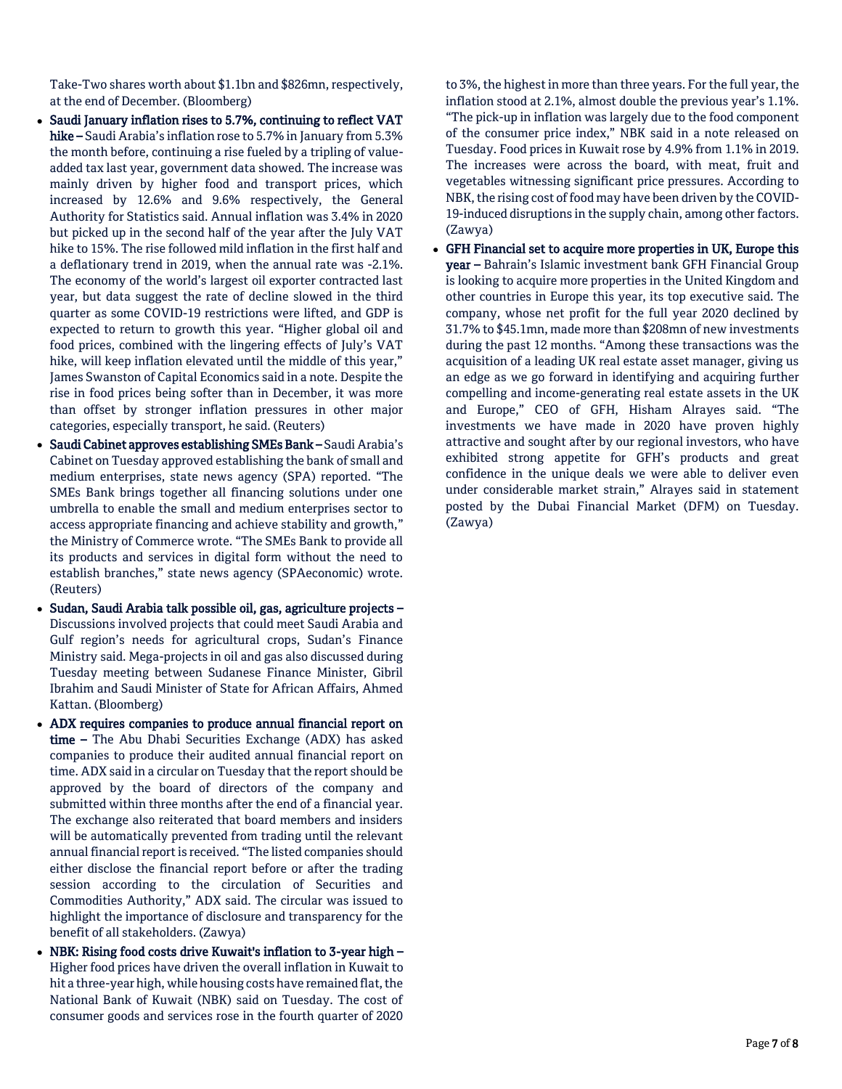Take-Two shares worth about \$1.1bn and \$826mn, respectively, at the end of December. (Bloomberg)

- Saudi January inflation rises to 5.7%, continuing to reflect VAT hike – Saudi Arabia's inflation rose to 5.7% in January from 5.3% the month before, continuing a rise fueled by a tripling of valueadded tax last year, government data showed. The increase was mainly driven by higher food and transport prices, which increased by 12.6% and 9.6% respectively, the General Authority for Statistics said. Annual inflation was 3.4% in 2020 but picked up in the second half of the year after the July VAT hike to 15%. The rise followed mild inflation in the first half and a deflationary trend in 2019, when the annual rate was -2.1%. The economy of the world's largest oil exporter contracted last year, but data suggest the rate of decline slowed in the third quarter as some COVID-19 restrictions were lifted, and GDP is expected to return to growth this year. "Higher global oil and food prices, combined with the lingering effects of July's VAT hike, will keep inflation elevated until the middle of this year," James Swanston of Capital Economics said in a note. Despite the rise in food prices being softer than in December, it was more than offset by stronger inflation pressures in other major categories, especially transport, he said. (Reuters)
- Saudi Cabinet approves establishing SMEs Bank Saudi Arabia's Cabinet on Tuesday approved establishing the bank of small and medium enterprises, state news agency (SPA) reported. "The SMEs Bank brings together all financing solutions under one umbrella to enable the small and medium enterprises sector to access appropriate financing and achieve stability and growth," the Ministry of Commerce wrote. "The SMEs Bank to provide all its products and services in digital form without the need to establish branches," state news agency (SPAeconomic) wrote. (Reuters)
- Sudan, Saudi Arabia talk possible oil, gas, agriculture projects Discussions involved projects that could meet Saudi Arabia and Gulf region's needs for agricultural crops, Sudan's Finance Ministry said. Mega-projects in oil and gas also discussed during Tuesday meeting between Sudanese Finance Minister, Gibril Ibrahim and Saudi Minister of State for African Affairs, Ahmed Kattan. (Bloomberg)
- ADX requires companies to produce annual financial report on time – The Abu Dhabi Securities Exchange (ADX) has asked companies to produce their audited annual financial report on time. ADX said in a circular on Tuesday that the report should be approved by the board of directors of the company and submitted within three months after the end of a financial year. The exchange also reiterated that board members and insiders will be automatically prevented from trading until the relevant annual financial report is received. "The listed companies should either disclose the financial report before or after the trading session according to the circulation of Securities and Commodities Authority," ADX said. The circular was issued to highlight the importance of disclosure and transparency for the benefit of all stakeholders. (Zawya)
- NBK: Rising food costs drive Kuwait's inflation to 3-year high Higher food prices have driven the overall inflation in Kuwait to hit a three-year high, while housing costs have remained flat, the National Bank of Kuwait (NBK) said on Tuesday. The cost of consumer goods and services rose in the fourth quarter of 2020

to 3%, the highest in more than three years. For the full year, the inflation stood at 2.1%, almost double the previous year's 1.1%. "The pick-up in inflation was largely due to the food component of the consumer price index," NBK said in a note released on Tuesday. Food prices in Kuwait rose by 4.9% from 1.1% in 2019. The increases were across the board, with meat, fruit and vegetables witnessing significant price pressures. According to NBK, the rising cost of food may have been driven by the COVID-19-induced disruptions in the supply chain, among other factors. (Zawya)

 GFH Financial set to acquire more properties in UK, Europe this year – Bahrain's Islamic investment bank GFH Financial Group is looking to acquire more properties in the United Kingdom and other countries in Europe this year, its top executive said. The company, whose net profit for the full year 2020 declined by 31.7% to \$45.1mn, made more than \$208mn of new investments during the past 12 months. "Among these transactions was the acquisition of a leading UK real estate asset manager, giving us an edge as we go forward in identifying and acquiring further compelling and income-generating real estate assets in the UK and Europe," CEO of GFH, Hisham Alrayes said. "The investments we have made in 2020 have proven highly attractive and sought after by our regional investors, who have exhibited strong appetite for GFH's products and great confidence in the unique deals we were able to deliver even under considerable market strain," Alrayes said in statement posted by the Dubai Financial Market (DFM) on Tuesday. (Zawya)